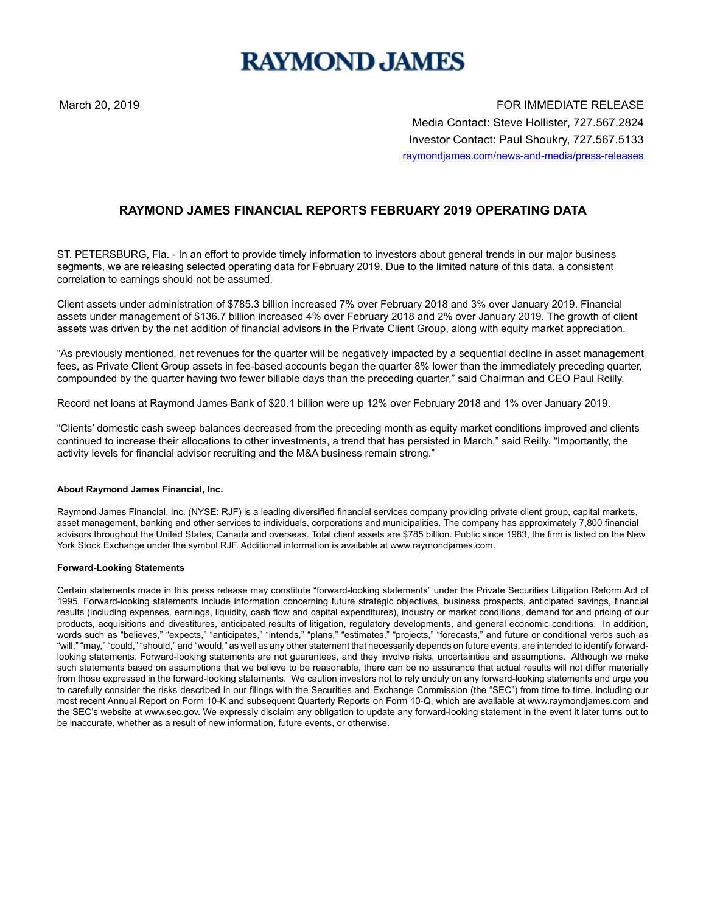# **RAYMOND JAMES**

March 20, 2019 FOR IMMEDIATE RELEASE Media Contact: Steve Hollister, 727.567.2824 Investor Contact: Paul Shoukry, 727.567.5133 raymondjames.com/news-and-media/press-releases

## **RAYMOND JAMES FINANCIAL REPORTS FEBRUARY 2019 OPERATING DATA**

ST. PETERSBURG, Fla. - In an effort to provide timely information to investors about general trends in our major business segments, we are releasing selected operating data for February 2019. Due to the limited nature of this data, a consistent correlation to earnings should not be assumed.

Client assets under administration of \$785.3 billion increased 7% over February 2018 and 3% over January 2019. Financial assets under management of \$136.7 billion increased 4% over February 2018 and 2% over January 2019. The growth of client assets was driven by the net addition of financial advisors in the Private Client Group, along with equity market appreciation.

"As previously mentioned, net revenues for the quarter will be negatively impacted by a sequential decline in asset management fees, as Private Client Group assets in fee-based accounts began the quarter 8% lower than the immediately preceding quarter, compounded by the quarter having two fewer billable days than the preceding quarter," said Chairman and CEO Paul Reilly.

Record net loans at Raymond James Bank of \$20.1 billion were up 12% over February 2018 and 1% over January 2019.

"Clients' domestic cash sweep balances decreased from the preceding month as equity market conditions improved and clients continued to increase their allocations to other investments, a trend that has persisted in March," said Reilly. "Importantly, the activity levels for financial advisor recruiting and the M&A business remain strong."

#### **About Raymond James Financial, Inc.**

Raymond James Financial, Inc. (NYSE: RJF) is a leading diversified financial services company providing private client group, capital markets, asset management, banking and other services to individuals, corporations and municipalities. The company has approximately 7,800 financial advisors throughout the United States, Canada and overseas. Total client assets are \$785 billion. Public since 1983, the firm is listed on the New York Stock Exchange under the symbol RJF. Additional information is available at www.raymondjames.com.

#### **Forward-Looking Statements**

Certain statements made in this press release may constitute "forward-looking statements" under the Private Securities Litigation Reform Act of 1995. Forward-looking statements include information concerning future strategic objectives, business prospects, anticipated savings, financial results (including expenses, earnings, liquidity, cash flow and capital expenditures), industry or market conditions, demand for and pricing of our products, acquisitions and divestitures, anticipated results of litigation, regulatory developments, and general economic conditions. In addition, words such as "believes," "expects," "anticipates," "intends," "plans," "estimates," "projects," "forecasts," and future or conditional verbs such as "will," "may," "could," "should," and "would," as well as any other statement that necessarily depends on future events, are intended to identify forwardlooking statements. Forward-looking statements are not guarantees, and they involve risks, uncertainties and assumptions. Although we make such statements based on assumptions that we believe to be reasonable, there can be no assurance that actual results will not differ materially from those expressed in the forward-looking statements. We caution investors not to rely unduly on any forward-looking statements and urge you to carefully consider the risks described in our filings with the Securities and Exchange Commission (the "SEC") from time to time, including our most recent Annual Report on Form 10-K and subsequent Quarterly Reports on Form 10-Q, which are available at www.raymondjames.com and the SEC's website at www.sec.gov. We expressly disclaim any obligation to update any forward-looking statement in the event it later turns out to be inaccurate, whether as a result of new information, future events, or otherwise.